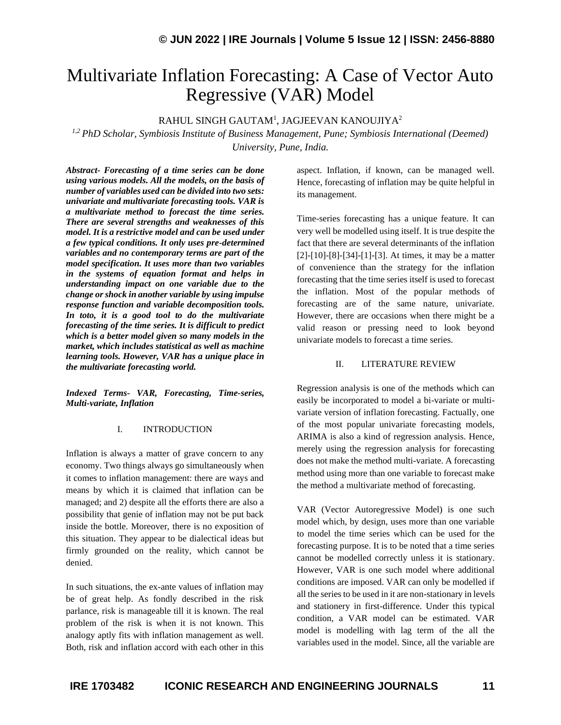# Multivariate Inflation Forecasting: A Case of Vector Auto Regressive (VAR) Model

## RAHUL SINGH GAUTAM<sup>1</sup>, JAGJEEVAN KANOUJIYA $^2$

*1,2 PhD Scholar, Symbiosis Institute of Business Management, Pune; Symbiosis International (Deemed) University, Pune, India.*

*Abstract- Forecasting of a time series can be done using various models. All the models, on the basis of number of variables used can be divided into two sets: univariate and multivariate forecasting tools. VAR is a multivariate method to forecast the time series. There are several strengths and weaknesses of this model. It is a restrictive model and can be used under a few typical conditions. It only uses pre-determined variables and no contemporary terms are part of the model specification. It uses more than two variables in the systems of equation format and helps in understanding impact on one variable due to the change or shock in another variable by using impulse response function and variable decomposition tools. In toto, it is a good tool to do the multivariate forecasting of the time series. It is difficult to predict which is a better model given so many models in the market, which includes statistical as well as machine learning tools. However, VAR has a unique place in the multivariate forecasting world.*

*Indexed Terms- VAR, Forecasting, Time-series, Multi-variate, Inflation*

#### I. INTRODUCTION

Inflation is always a matter of grave concern to any economy. Two things always go simultaneously when it comes to inflation management: there are ways and means by which it is claimed that inflation can be managed; and 2) despite all the efforts there are also a possibility that genie of inflation may not be put back inside the bottle. Moreover, there is no exposition of this situation. They appear to be dialectical ideas but firmly grounded on the reality, which cannot be denied.

In such situations, the ex-ante values of inflation may be of great help. As fondly described in the risk parlance, risk is manageable till it is known. The real problem of the risk is when it is not known. This analogy aptly fits with inflation management as well. Both, risk and inflation accord with each other in this aspect. Inflation, if known, can be managed well. Hence, forecasting of inflation may be quite helpful in its management.

Time-series forecasting has a unique feature. It can very well be modelled using itself. It is true despite the fact that there are several determinants of the inflation [2]-[10]-[8]-[34]-[1]-[3]. At times, it may be a matter of convenience than the strategy for the inflation forecasting that the time series itself is used to forecast the inflation. Most of the popular methods of forecasting are of the same nature, univariate. However, there are occasions when there might be a valid reason or pressing need to look beyond univariate models to forecast a time series.

#### II. LITERATURE REVIEW

Regression analysis is one of the methods which can easily be incorporated to model a bi-variate or multivariate version of inflation forecasting. Factually, one of the most popular univariate forecasting models, ARIMA is also a kind of regression analysis. Hence, merely using the regression analysis for forecasting does not make the method multi-variate. A forecasting method using more than one variable to forecast make the method a multivariate method of forecasting.

VAR (Vector Autoregressive Model) is one such model which, by design, uses more than one variable to model the time series which can be used for the forecasting purpose. It is to be noted that a time series cannot be modelled correctly unless it is stationary. However, VAR is one such model where additional conditions are imposed. VAR can only be modelled if all the series to be used in it are non-stationary in levels and stationery in first-difference. Under this typical condition, a VAR model can be estimated. VAR model is modelling with lag term of the all the variables used in the model. Since, all the variable are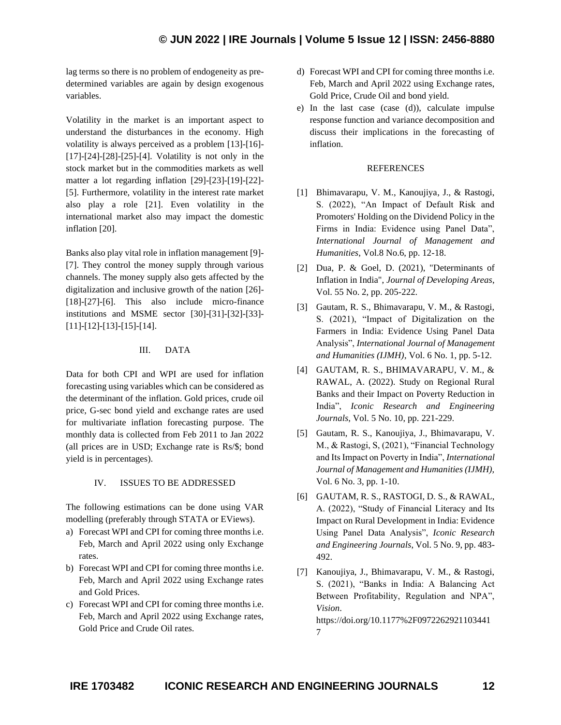lag terms so there is no problem of endogeneity as predetermined variables are again by design exogenous variables.

Volatility in the market is an important aspect to understand the disturbances in the economy. High volatility is always perceived as a problem [13]-[16]- [17]-[24]-[28]-[25]-[4]. Volatility is not only in the stock market but in the commodities markets as well matter a lot regarding inflation [29]-[23]-[19]-[22]- [5]. Furthermore, volatility in the interest rate market also play a role [21]. Even volatility in the international market also may impact the domestic inflation [20].

Banks also play vital role in inflation management [9]- [7]. They control the money supply through various channels. The money supply also gets affected by the digitalization and inclusive growth of the nation [26]- [18]-[27]-[6]. This also include micro-finance institutions and MSME sector [30]-[31]-[32]-[33]- [11]-[12]-[13]-[15]-[14].

## III. DATA

Data for both CPI and WPI are used for inflation forecasting using variables which can be considered as the determinant of the inflation. Gold prices, crude oil price, G-sec bond yield and exchange rates are used for multivariate inflation forecasting purpose. The monthly data is collected from Feb 2011 to Jan 2022 (all prices are in USD; Exchange rate is Rs/\$; bond yield is in percentages).

## IV. ISSUES TO BE ADDRESSED

The following estimations can be done using VAR modelling (preferably through STATA or EViews).

- a) Forecast WPI and CPI for coming three months i.e. Feb, March and April 2022 using only Exchange rates.
- b) Forecast WPI and CPI for coming three months i.e. Feb, March and April 2022 using Exchange rates and Gold Prices.
- c) Forecast WPI and CPI for coming three months i.e. Feb, March and April 2022 using Exchange rates, Gold Price and Crude Oil rates.
- d) Forecast WPI and CPI for coming three months i.e. Feb, March and April 2022 using Exchange rates, Gold Price, Crude Oil and bond yield.
- e) In the last case (case (d)), calculate impulse response function and variance decomposition and discuss their implications in the forecasting of inflation.

### REFERENCES

- [1] Bhimavarapu, V. M., Kanoujiya, J., & Rastogi, S. (2022), "An Impact of Default Risk and Promoters' Holding on the Dividend Policy in the Firms in India: Evidence using Panel Data", *International Journal of Management and Humanities*, Vol.8 No.6, pp. 12-18.
- [2] Dua, P. & Goel, D. (2021), "Determinants of Inflation in India", *Journal of Developing Areas*, Vol. 55 No. 2, pp. 205-222.
- [3] Gautam, R. S., Bhimavarapu, V. M., & Rastogi, S. (2021), "Impact of Digitalization on the Farmers in India: Evidence Using Panel Data Analysis", *International Journal of Management and Humanities (IJMH)*, Vol. 6 No. 1, pp. 5-12.
- [4] GAUTAM, R. S., BHIMAVARAPU, V. M., & RAWAL, A. (2022). Study on Regional Rural Banks and their Impact on Poverty Reduction in India", *Iconic Research and Engineering Journals*, Vol. 5 No. 10, pp. 221-229.
- [5] Gautam, R. S., Kanoujiya, J., Bhimavarapu, V. M., & Rastogi, S, (2021), "Financial Technology and Its Impact on Poverty in India", *International Journal of Management and Humanities (IJMH),* Vol. 6 No. 3, pp. 1-10.
- [6] GAUTAM, R. S., RASTOGI, D. S., & RAWAL, A. (2022), "Study of Financial Literacy and Its Impact on Rural Development in India: Evidence Using Panel Data Analysis", *Iconic Research and Engineering Journals*, Vol. 5 No. 9, pp. 483- 492.
- [7] Kanoujiya, J., Bhimavarapu, V. M., & Rastogi, S. (2021), "Banks in India: A Balancing Act Between Profitability, Regulation and NPA", *Vision*.

https://doi.org/10.1177%2F0972262921103441 7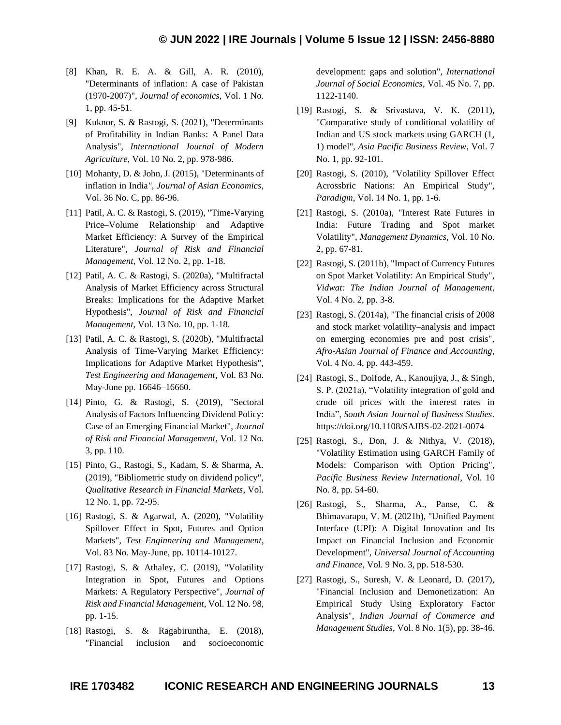- [8] Khan, R. E. A. & Gill, A. R. (2010), "Determinants of inflation: A case of Pakistan (1970-2007)", *Journal of economics*, Vol. 1 No. 1, pp. 45-51.
- [9] Kuknor, S. & Rastogi, S. (2021), "Determinants of Profitability in Indian Banks: A Panel Data Analysis", *International Journal of Modern Agriculture*, Vol. 10 No. 2, pp. 978-986.
- [10] Mohanty, D. & John, J. (2015), "Determinants of inflation in India*", Journal of Asian Economics*, Vol. 36 No. C, pp. 86-96.
- [11] Patil, A. C. & Rastogi, S. (2019), "Time-Varying Price–Volume Relationship and Adaptive Market Efficiency: A Survey of the Empirical Literature", *Journal of Risk and Financial Management*, Vol. 12 No. 2, pp. 1-18.
- [12] Patil, A. C. & Rastogi, S. (2020a), "Multifractal Analysis of Market Efficiency across Structural Breaks: Implications for the Adaptive Market Hypothesis", *Journal of Risk and Financial Management*, Vol. 13 No. 10, pp. 1-18.
- [13] Patil, A. C. & Rastogi, S. (2020b), "Multifractal Analysis of Time-Varying Market Efficiency: Implications for Adaptive Market Hypothesis", *Test Engineering and Management*, Vol. 83 No. May-June pp. 16646–16660.
- [14] Pinto, G. & Rastogi, S. (2019), "Sectoral Analysis of Factors Influencing Dividend Policy: Case of an Emerging Financial Market", *Journal of Risk and Financial Management*, Vol. 12 No. 3, pp. 110.
- [15] Pinto, G., Rastogi, S., Kadam, S. & Sharma, A. (2019), "Bibliometric study on dividend policy", *Qualitative Research in Financial Markets*, Vol. 12 No. 1, pp. 72-95.
- [16] Rastogi, S. & Agarwal, A. (2020), "Volatility Spillover Effect in Spot, Futures and Option Markets", *Test Enginnering and Management*, Vol. 83 No. May-June, pp. 10114-10127.
- [17] Rastogi, S. & Athaley, C. (2019), "Volatility Integration in Spot, Futures and Options Markets: A Regulatory Perspective", *Journal of Risk and Financial Management*, Vol. 12 No. 98, pp. 1-15.
- [18] Rastogi, S. & Ragabiruntha, E. (2018), "Financial inclusion and socioeconomic

development: gaps and solution", *International Journal of Social Economics*, Vol. 45 No. 7, pp. 1122-1140.

- [19] Rastogi, S. & Srivastava, V. K. (2011), "Comparative study of conditional volatility of Indian and US stock markets using GARCH (1, 1) model", *Asia Pacific Business Review*, Vol. 7 No. 1, pp. 92-101.
- [20] Rastogi, S. (2010), "Volatility Spillover Effect Acrossbric Nations: An Empirical Study", *Paradigm*, Vol. 14 No. 1, pp. 1-6.
- [21] Rastogi, S. (2010a), "Interest Rate Futures in India: Future Trading and Spot market Volatility", *Management Dynamics*, Vol. 10 No. 2, pp. 67-81.
- [22] Rastogi, S. (2011b), "Impact of Currency Futures on Spot Market Volatility: An Empirical Study", *Vidwat: The Indian Journal of Management*, Vol. 4 No. 2, pp. 3-8.
- [23] Rastogi, S. (2014a), "The financial crisis of 2008 and stock market volatility–analysis and impact on emerging economies pre and post crisis", *Afro-Asian Journal of Finance and Accounting*, Vol. 4 No. 4, pp. 443-459.
- [24] Rastogi, S., Doifode, A., Kanoujiya, J., & Singh, S. P. (2021a), "Volatility integration of gold and crude oil prices with the interest rates in India", *South Asian Journal of Business Studies*. https://doi.org/10.1108/SAJBS-02-2021-0074
- [25] Rastogi, S., Don, J. & Nithya, V. (2018), "Volatility Estimation using GARCH Family of Models: Comparison with Option Pricing", *Pacific Business Review International*, Vol. 10 No. 8, pp. 54-60.
- [26] Rastogi, S., Sharma, A., Panse, C. & Bhimavarapu, V. M. (2021b), "Unified Payment Interface (UPI): A Digital Innovation and Its Impact on Financial Inclusion and Economic Development", *Universal Journal of Accounting and Finance*, Vol. 9 No. 3, pp. 518-530.
- [27] Rastogi, S., Suresh, V. & Leonard, D. (2017), "Financial Inclusion and Demonetization: An Empirical Study Using Exploratory Factor Analysis", *Indian Journal of Commerce and Management Studies*, Vol. 8 No. 1(5), pp. 38-46.